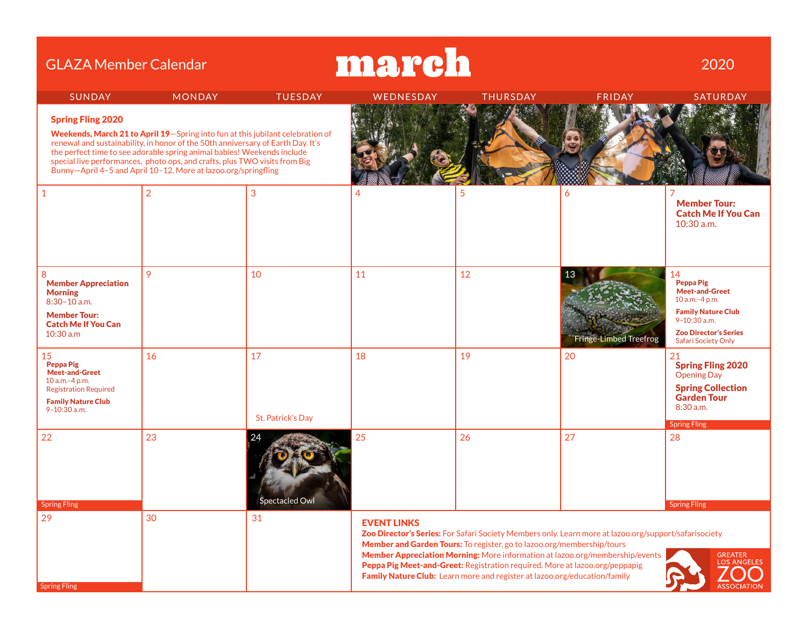| march<br><b>GLAZA Member Calendar</b>                                                                                                          |                                                                                                                                                                                                                                                                                                                                                                                              |                         |                    |                                                                                                                                                                                                                                    |                                                                                                                                                                                       |                                                                                                                                                                                  |  |  |
|------------------------------------------------------------------------------------------------------------------------------------------------|----------------------------------------------------------------------------------------------------------------------------------------------------------------------------------------------------------------------------------------------------------------------------------------------------------------------------------------------------------------------------------------------|-------------------------|--------------------|------------------------------------------------------------------------------------------------------------------------------------------------------------------------------------------------------------------------------------|---------------------------------------------------------------------------------------------------------------------------------------------------------------------------------------|----------------------------------------------------------------------------------------------------------------------------------------------------------------------------------|--|--|
| <b>SUNDAY</b>                                                                                                                                  | <b>MONDAY</b>                                                                                                                                                                                                                                                                                                                                                                                | <b>TUESDAY</b>          | WEDNESDAY          | <b>THURSDAY</b>                                                                                                                                                                                                                    | <b>FRIDAY</b>                                                                                                                                                                         | SATURDAY                                                                                                                                                                         |  |  |
| <b>Spring Fling 2020</b>                                                                                                                       | Weekends, March 21 to April 19-Spring into fun at this jubilant celebration of<br>renewal and sustainability, in honor of the 50th anniversary of Earth Day. It's<br>the perfect time to see adorable spring animal babies! Weekends include<br>special live performances, photo ops, and crafts, plus TWO visits from Big<br>Bunny-April 4-5 and April 10-12. More at lazoo.org/springfling |                         |                    |                                                                                                                                                                                                                                    |                                                                                                                                                                                       |                                                                                                                                                                                  |  |  |
| $\mathbf{1}$                                                                                                                                   | $\overline{2}$                                                                                                                                                                                                                                                                                                                                                                               | 3                       |                    |                                                                                                                                                                                                                                    | 6                                                                                                                                                                                     | <b>Member Tour:</b><br><b>Catch Me If You Can</b><br>$10:30$ a.m.                                                                                                                |  |  |
| 8<br><b>Member Appreciation</b><br><b>Morning</b><br>$8:30 - 10$ a.m.<br><b>Member Tour:</b><br><b>Catch Me If You Can</b><br>10:30 a.m        | 9                                                                                                                                                                                                                                                                                                                                                                                            | 10                      | 11                 | 12                                                                                                                                                                                                                                 | Fringe-Limbed Treefrog                                                                                                                                                                | 14<br><b>Peppa Pig</b><br><b>Meet-and-Greet</b><br>10 a.m.-4 p.m.<br><b>Family Nature Club</b><br>$9 - 10:30$ a.m.<br><b>Zoo Director's Series</b><br><b>Safari Society Only</b> |  |  |
| 15<br><b>Peppa Pig</b><br><b>Meet-and-Greet</b><br>10 a.m.-4 p.m.<br><b>Registration Required</b><br><b>Family Nature Club</b><br>9-10:30 a.m. | 16                                                                                                                                                                                                                                                                                                                                                                                           | 17<br>St. Patrick's Day | 18                 | 19                                                                                                                                                                                                                                 | 20                                                                                                                                                                                    | 21<br><b>Spring Fling 2020</b><br><b>Opening Day</b><br><b>Spring Collection</b><br><b>Garden Tour</b><br>$8:30$ a.m.<br><b>Spring Fling</b>                                     |  |  |
| 22<br><b>Spring Fling</b>                                                                                                                      | 23                                                                                                                                                                                                                                                                                                                                                                                           | 24<br>Spectacled Owl    | 25                 | 26                                                                                                                                                                                                                                 | 27                                                                                                                                                                                    | 28<br><b>Spring Fling</b>                                                                                                                                                        |  |  |
| 29<br><b>Spring Fling</b>                                                                                                                      | 30                                                                                                                                                                                                                                                                                                                                                                                           | 31                      | <b>EVENT LINKS</b> | Member and Garden Tours: To register, go to lazoo.org/membership/tours<br>Peppa Pig Meet-and-Greet: Registration required. More at lazoo.org/peppapig<br>Family Nature Club: Learn more and register at lazoo.org/education/family | Zoo Director's Series: For Safari Society Members only. Learn more at lazoo.org/support/safarisociety<br>Member Appreciation Morning: More information at lazoo.org/membership/events | <b>GREATER</b><br><b>LOS ANGELES</b>                                                                                                                                             |  |  |